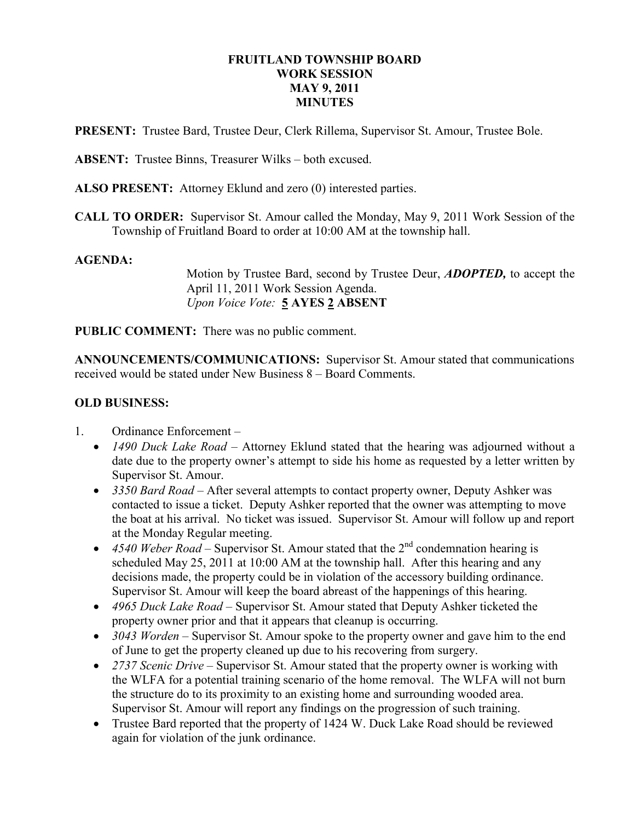### FRUITLAND TOWNSHIP BOARD WORK SESSION MAY 9, 2011 **MINUTES**

PRESENT: Trustee Bard, Trustee Deur, Clerk Rillema, Supervisor St. Amour, Trustee Bole.

ABSENT: Trustee Binns, Treasurer Wilks – both excused.

ALSO PRESENT: Attorney Eklund and zero (0) interested parties.

CALL TO ORDER: Supervisor St. Amour called the Monday, May 9, 2011 Work Session of the Township of Fruitland Board to order at 10:00 AM at the township hall.

### AGENDA:

Motion by Trustee Bard, second by Trustee Deur, ADOPTED, to accept the April 11, 2011 Work Session Agenda. Upon Voice Vote: 5 AYES 2 ABSENT

PUBLIC COMMENT: There was no public comment.

ANNOUNCEMENTS/COMMUNICATIONS: Supervisor St. Amour stated that communications received would be stated under New Business 8 – Board Comments.

## OLD BUSINESS:

- 1. Ordinance Enforcement
	- 1490 Duck Lake Road Attorney Eklund stated that the hearing was adjourned without a date due to the property owner's attempt to side his home as requested by a letter written by Supervisor St. Amour.
	- 3350 Bard Road After several attempts to contact property owner, Deputy Ashker was contacted to issue a ticket. Deputy Ashker reported that the owner was attempting to move the boat at his arrival. No ticket was issued. Supervisor St. Amour will follow up and report at the Monday Regular meeting.
	- 4540 Weber Road Supervisor St. Amour stated that the  $2<sup>nd</sup>$  condemnation hearing is scheduled May 25, 2011 at 10:00 AM at the township hall. After this hearing and any decisions made, the property could be in violation of the accessory building ordinance. Supervisor St. Amour will keep the board abreast of the happenings of this hearing.
	- 4965 Duck Lake Road Supervisor St. Amour stated that Deputy Ashker ticketed the property owner prior and that it appears that cleanup is occurring.
	- $3043$  *Worden* Supervisor St. Amour spoke to the property owner and gave him to the end of June to get the property cleaned up due to his recovering from surgery.
	- 2737 Scenic Drive Supervisor St. Amour stated that the property owner is working with the WLFA for a potential training scenario of the home removal. The WLFA will not burn the structure do to its proximity to an existing home and surrounding wooded area. Supervisor St. Amour will report any findings on the progression of such training.
	- Trustee Bard reported that the property of 1424 W. Duck Lake Road should be reviewed again for violation of the junk ordinance.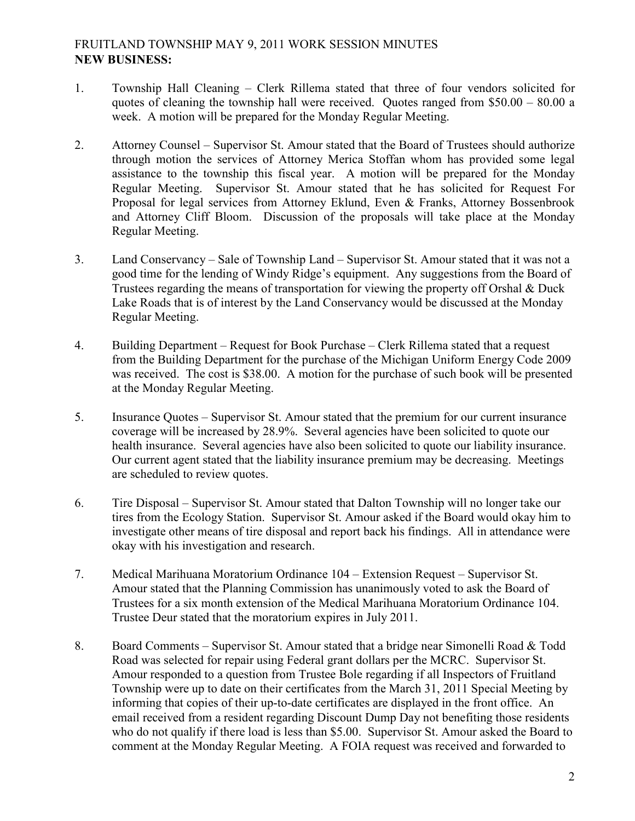# FRUITLAND TOWNSHIP MAY 9, 2011 WORK SESSION MINUTES NEW BUSINESS:

- 1. Township Hall Cleaning Clerk Rillema stated that three of four vendors solicited for quotes of cleaning the township hall were received. Quotes ranged from \$50.00 – 80.00 a week. A motion will be prepared for the Monday Regular Meeting.
- 2. Attorney Counsel Supervisor St. Amour stated that the Board of Trustees should authorize through motion the services of Attorney Merica Stoffan whom has provided some legal assistance to the township this fiscal year. A motion will be prepared for the Monday Regular Meeting. Supervisor St. Amour stated that he has solicited for Request For Proposal for legal services from Attorney Eklund, Even & Franks, Attorney Bossenbrook and Attorney Cliff Bloom. Discussion of the proposals will take place at the Monday Regular Meeting.
- 3. Land Conservancy Sale of Township Land Supervisor St. Amour stated that it was not a good time for the lending of Windy Ridge's equipment. Any suggestions from the Board of Trustees regarding the means of transportation for viewing the property off Orshal & Duck Lake Roads that is of interest by the Land Conservancy would be discussed at the Monday Regular Meeting.
- 4. Building Department Request for Book Purchase Clerk Rillema stated that a request from the Building Department for the purchase of the Michigan Uniform Energy Code 2009 was received. The cost is \$38.00. A motion for the purchase of such book will be presented at the Monday Regular Meeting.
- 5. Insurance Quotes Supervisor St. Amour stated that the premium for our current insurance coverage will be increased by 28.9%. Several agencies have been solicited to quote our health insurance. Several agencies have also been solicited to quote our liability insurance. Our current agent stated that the liability insurance premium may be decreasing. Meetings are scheduled to review quotes.
- 6. Tire Disposal Supervisor St. Amour stated that Dalton Township will no longer take our tires from the Ecology Station. Supervisor St. Amour asked if the Board would okay him to investigate other means of tire disposal and report back his findings. All in attendance were okay with his investigation and research.
- 7. Medical Marihuana Moratorium Ordinance 104 Extension Request Supervisor St. Amour stated that the Planning Commission has unanimously voted to ask the Board of Trustees for a six month extension of the Medical Marihuana Moratorium Ordinance 104. Trustee Deur stated that the moratorium expires in July 2011.
- 8. Board Comments Supervisor St. Amour stated that a bridge near Simonelli Road & Todd Road was selected for repair using Federal grant dollars per the MCRC. Supervisor St. Amour responded to a question from Trustee Bole regarding if all Inspectors of Fruitland Township were up to date on their certificates from the March 31, 2011 Special Meeting by informing that copies of their up-to-date certificates are displayed in the front office. An email received from a resident regarding Discount Dump Day not benefiting those residents who do not qualify if there load is less than \$5.00. Supervisor St. Amour asked the Board to comment at the Monday Regular Meeting. A FOIA request was received and forwarded to